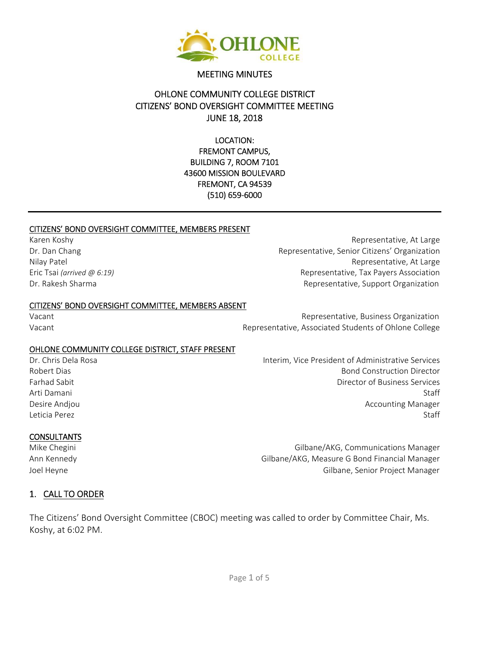

#### MEETING MINUTES

# OHLONE COMMUNITY COLLEGE DISTRICT CITIZENS' BOND OVERSIGHT COMMITTEE MEETING JUNE 18, 2018

LOCATION: FREMONT CAMPUS, BUILDING 7, ROOM 7101 43600 MISSION BOULEVARD FREMONT, CA 94539 (510) 659‐6000

#### CITIZENS' BOND OVERSIGHT COMMITTEE, MEMBERS PRESENT

Karen Koshy Representative, At Large Dr. Dan Chang **Representative, Senior Citizens' Organization** Nilay Patel **Representative, At Large** Eric Tsai *(arrived @ 6:19)* Representative, Tax Payers Association Dr. Rakesh Sharma Representative, Support Organization

#### CITIZENS' BOND OVERSIGHT COMMITTEE, MEMBERS ABSENT

Vacant Representative, Business Organization Vacant Representative, Associated Students of Ohlone College

#### OHLONE COMMUNITY COLLEGE DISTRICT, STAFF PRESENT

Dr. Chris Dela Rosa Interim, Vice President of Administrative Services Robert Dias Bond Construction Director Farhad Sabit Director of Business Services Arti Damani Staff Staff Staff Staff Staff Staff Staff Staff Staff Staff Staff Staff Staff Staff Staff Staff Staff Staff Staff Staff Staff Staff Staff Staff Staff Staff Staff Staff Staff Staff Staff Staff Staff Staff Staff Desire Andjou **Counting Manager** Counting Manager Counting Manager Leticia Perez Staff

## **CONSULTANTS**

Mike Chegini Ann Kennedy Joel Heyne

Gilbane/AKG, Communications Manager Gilbane/AKG, Measure G Bond Financial Manager Gilbane, Senior Project Manager

#### 1. CALL TO ORDER

The Citizens' Bond Oversight Committee (CBOC) meeting was called to order by Committee Chair, Ms. Koshy, at 6:02 PM.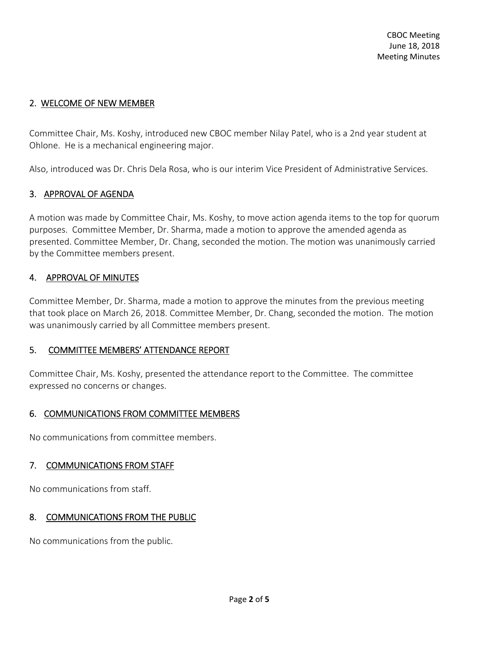## 2. WELCOME OF NEW MEMBER

Committee Chair, Ms. Koshy, introduced new CBOC member Nilay Patel, who is a 2nd year student at Ohlone. He is a mechanical engineering major.

Also, introduced was Dr. Chris Dela Rosa, who is our interim Vice President of Administrative Services.

## 3. APPROVAL OF AGENDA

A motion was made by Committee Chair, Ms. Koshy, to move action agenda items to the top for quorum purposes. Committee Member, Dr. Sharma, made a motion to approve the amended agenda as presented. Committee Member, Dr. Chang, seconded the motion. The motion was unanimously carried by the Committee members present.

## 4. APPROVAL OF MINUTES

Committee Member, Dr. Sharma, made a motion to approve the minutes from the previous meeting that took place on March 26, 2018. Committee Member, Dr. Chang, seconded the motion. The motion was unanimously carried by all Committee members present.

#### 5. COMMITTEE MEMBERS' ATTENDANCE REPORT

Committee Chair, Ms. Koshy, presented the attendance report to the Committee. The committee expressed no concerns or changes.

#### 6. COMMUNICATIONS FROM COMMITTEE MEMBERS

No communications from committee members.

#### 7. COMMUNICATIONS FROM STAFF

No communications from staff.

## 8. COMMUNICATIONS FROM THE PUBLIC

No communications from the public.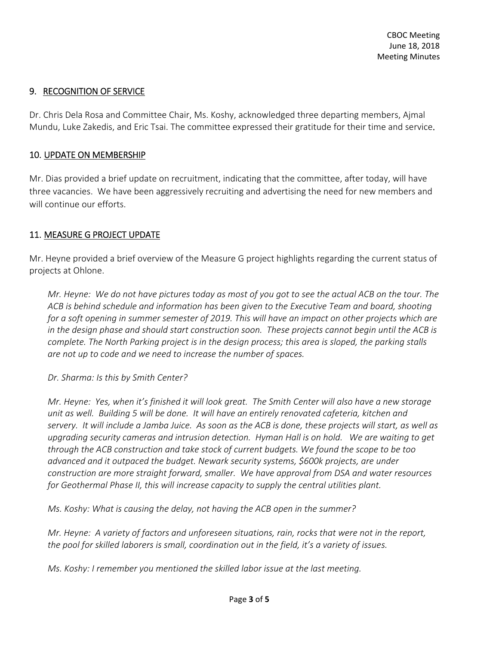## 9. RECOGNITION OF SERVICE

Dr. Chris Dela Rosa and Committee Chair, Ms. Koshy, acknowledged three departing members, Ajmal Mundu, Luke Zakedis, and Eric Tsai. The committee expressed their gratitude for their time and service.

## 10. UPDATE ON MEMBERSHIP

Mr. Dias provided a brief update on recruitment, indicating that the committee, after today, will have three vacancies. We have been aggressively recruiting and advertising the need for new members and will continue our efforts.

## 11. MEASURE G PROJECT UPDATE

Mr. Heyne provided a brief overview of the Measure G project highlights regarding the current status of projects at Ohlone.

*Mr. Heyne: We do not have pictures today as most of you got to see the actual ACB on the tour. The ACB is behind schedule and information has been given to the Executive Team and board, shooting for a soft opening in summer semester of 2019. This will have an impact on other projects which are in the design phase and should start construction soon. These projects cannot begin until the ACB is complete. The North Parking project is in the design process; this area is sloped, the parking stalls are not up to code and we need to increase the number of spaces.* 

*Dr. Sharma: Is this by Smith Center?* 

*Mr. Heyne: Yes, when it's finished it will look great. The Smith Center will also have a new storage unit as well. Building 5 will be done. It will have an entirely renovated cafeteria, kitchen and servery. It will include a Jamba Juice. As soon as the ACB is done, these projects will start, as well as upgrading security cameras and intrusion detection. Hyman Hall is on hold. We are waiting to get through the ACB construction and take stock of current budgets. We found the scope to be too advanced and it outpaced the budget. Newark security systems, \$600k projects, are under construction are more straight forward, smaller. We have approval from DSA and water resources for Geothermal Phase II, this will increase capacity to supply the central utilities plant.* 

*Ms. Koshy: What is causing the delay, not having the ACB open in the summer?* 

*Mr. Heyne: A variety of factors and unforeseen situations, rain, rocks that were not in the report, the pool for skilled laborers is small, coordination out in the field, it's a variety of issues.* 

*Ms. Koshy: I remember you mentioned the skilled labor issue at the last meeting.*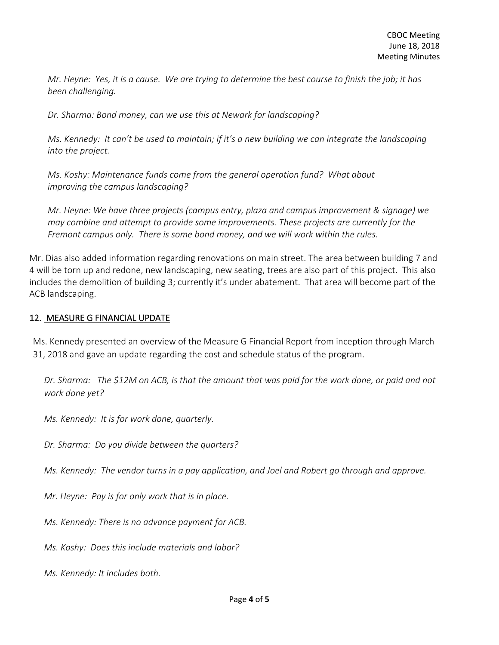*Mr. Heyne: Yes, it is a cause. We are trying to determine the best course to finish the job; it has been challenging.* 

*Dr. Sharma: Bond money, can we use this at Newark for landscaping?* 

*Ms. Kennedy: It can't be used to maintain; if it's a new building we can integrate the landscaping into the project.* 

*Ms. Koshy: Maintenance funds come from the general operation fund? What about improving the campus landscaping?* 

*Mr. Heyne: We have three projects (campus entry, plaza and campus improvement & signage) we may combine and attempt to provide some improvements. These projects are currently for the Fremont campus only. There is some bond money, and we will work within the rules.* 

Mr. Dias also added information regarding renovations on main street. The area between building 7 and 4 will be torn up and redone, new landscaping, new seating, trees are also part of this project. This also includes the demolition of building 3; currently it's under abatement. That area will become part of the ACB landscaping.

#### 12. MEASURE G FINANCIAL UPDATE

Ms. Kennedy presented an overview of the Measure G Financial Report from inception through March 31, 2018 and gave an update regarding the cost and schedule status of the program.

*Dr. Sharma: The \$12M on ACB, is that the amount that was paid for the work done, or paid and not work done yet?* 

*Ms. Kennedy: It is for work done, quarterly.* 

*Dr. Sharma: Do you divide between the quarters?* 

*Ms. Kennedy: The vendor turns in a pay application, and Joel and Robert go through and approve.* 

*Mr. Heyne: Pay is for only work that is in place.* 

*Ms. Kennedy: There is no advance payment for ACB.* 

*Ms. Koshy: Does this include materials and labor?* 

*Ms. Kennedy: It includes both.*